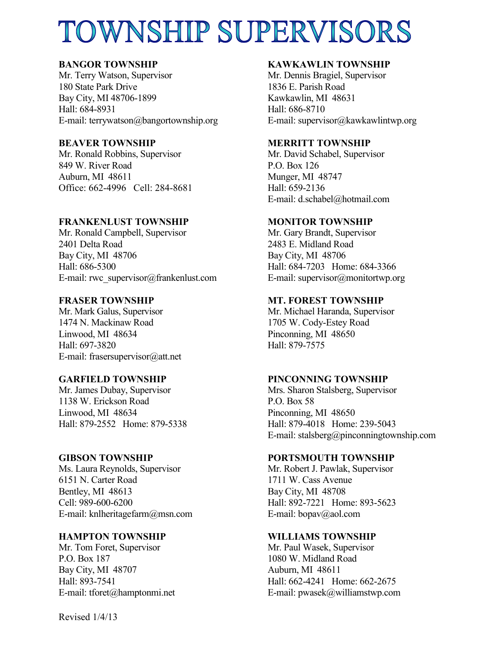# TOWNSHIP SUPERVISORS

# **BANGOR TOWNSHIP**

Mr. Terry Watson, Supervisor 180 State Park Drive Bay City, MI 48706-1899 Hall: 684-8931 E-mail: terrywatson@bangortownship.org

# **BEAVER TOWNSHIP**

Mr. Ronald Robbins, Supervisor 849 W. River Road Auburn, MI 48611 Office: 662-4996 Cell: 284-8681

# **FRANKENLUST TOWNSHIP**

Mr. Ronald Campbell, Supervisor 2401 Delta Road Bay City, MI 48706 Hall: 686-5300 E-mail: rwc\_supervisor@frankenlust.com

# **FRASER TOWNSHIP**

Mr. Mark Galus, Supervisor 1474 N. Mackinaw Road Linwood, MI 48634 Hall: 697-3820 E-mail: frasersupervisor@att.net

# **GARFIELD TOWNSHIP**

Mr. James Dubay, Supervisor 1138 W. Erickson Road Linwood, MI 48634 Hall: 879-2552 Home: 879-5338

## **GIBSON TOWNSHIP**

Ms. Laura Reynolds, Supervisor 6151 N. Carter Road Bentley, MI 48613 Cell: 989-600-6200 E-mail: knlheritagefarm@msn.com

## **HAMPTON TOWNSHIP**

Mr. Tom Foret, Supervisor P.O. Box 187 Bay City, MI 48707 Hall: 893-7541 E-mail: tforet@hamptonmi.net

## **KAWKAWLIN TOWNSHIP**

Mr. Dennis Bragiel, Supervisor 1836 E. Parish Road Kawkawlin, MI 48631 Hall: 686-8710 E-mail: supervisor@kawkawlintwp.org

## **MERRITT TOWNSHIP**

Mr. David Schabel, Supervisor P.O. Box 126 Munger, MI 48747 Hall: 659-2136 E-mail: d.schabel@hotmail.com

# **MONITOR TOWNSHIP**

Mr. Gary Brandt, Supervisor 2483 E. Midland Road Bay City, MI 48706 Hall: 684-7203 Home: 684-3366 E-mail: supervisor@monitortwp.org

## **MT. FOREST TOWNSHIP**

Mr. Michael Haranda, Supervisor 1705 W. Cody-Estey Road Pinconning, MI 48650 Hall: 879-7575

## **PINCONNING TOWNSHIP**

Mrs. Sharon Stalsberg, Supervisor P.O. Box 58 Pinconning, MI 48650 Hall: 879-4018 Home: 239-5043 E-mail: stalsberg@pinconningtownship.com

#### **PORTSMOUTH TOWNSHIP**

Mr. Robert J. Pawlak, Supervisor 1711 W. Cass Avenue Bay City, MI 48708 Hall: 892-7221 Home: 893-5623 E-mail: bopav@aol.com

#### **WILLIAMS TOWNSHIP**

Mr. Paul Wasek, Supervisor 1080 W. Midland Road Auburn, MI 48611 Hall: 662-4241 Home: 662-2675 E-mail: pwasek@williamstwp.com

Revised 1/4/13